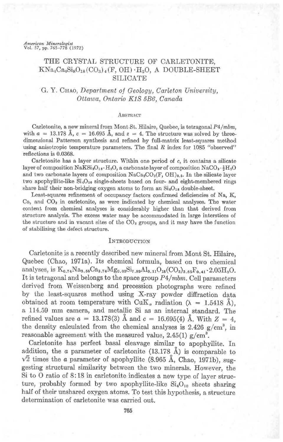# *American Mineralogist*<br>Vol. 57, pp. 765–778 (1972)

# THE CRYSTAL STRUCTURE OF CARLETONITE,  $KNa_4Ca_4Si_8O_{18}(CO_3)_4(F, OH) \cdot H_2O$ , A DOUBLE-SHEET **SILICATE**

# G. Y. Chao, Department of Geology, Carleton University, Ottawa. Ontario KlS 586. Canada

#### ABSTRACT

Carletonite, a new mineral from Mont St. Hilaire, Quebec, is tetragonal P4/mbm, with  $a = 13.178$   $\AA$ ,  $c = 16.695$   $\AA$ , and  $z = 4$ . The structure was solved by threedimensional Patterson synthesis and refined by full-matrix least-squares method using anisotropic temperature parameters. The final  $R$  index for 1085 "observed" reflections is 0.0368.

Carletonite has a layer structure. Within one period of c, it contains a silicate layer of composition  $NaKSi_8O_{18} \cdot H_2O$ , a carbonate layer of composition  $NaCO_3 \cdot \frac{1}{2}H_2O$ and two carbonate layers of composition  $NaCa_2CO_3(F, OH)_{0.5}$ . In the silicate layer two apophyllite-like  $Si_4O_{10}$  single-sheets based on four- and eight-membered rings share half their non-bridging oxygen atoms to form an  $Si_8O_{18}$  double-sheet.

Least-squares refinement of occupancy factors confirmed deficiencies of Na, K,  $Ca$ , and  $CO<sub>3</sub>$  in carletonite, as were indicated by chemical analyses. The water content from chemical analyses is considerably higher than that derived from structure analysis. The excess water may be accommodated in large interstices of the structure and in vacant sites of the  $CO<sub>3</sub>$  groups, and it may have the function of stabilizing the defect structure.

## INTRODUCTION

Carletonite is a recently described new mineral from Mont St. Hilaire, Quebec (Chao, 1971a). Its chemical formula, based on two chemical analyses, is  $K_{0.74}Na_{3.56}Ca_{3.74}Mg_{0.03}Si_{7.89}Al_{0.11}O_{18}(CO_3)_{3.65}F_{0.41}\cdot 2.05H_2O.$ It is tetragonal and belongs to the space group  $P4/mbm$ . Cell parameters derived from Weissenberg and precession photographs were refined by the least-squares method using X-ray powder diffraction data obtained at room temperature with  $CuK_{\alpha}$  radiation ( $\lambda = 1.5418$  A), a 114.59 mm camera, and metallic Si as an internal standard. The refined values are  $a = 13.178(3)$  Å and  $c = 16.695(4)$  Å. With  $Z = 4$ , the density calculated from the chemical analyses is 2.426  $g/cm^3$ , in reasonable agreement with the measured value, 2.45(1)  $g/cm^3$ .

Carletonite has perfect basal cleavage similar^ to apophyllite. In addition, the  $\alpha$  parameter of carletonite (13.178 Å) is comparable to  $\sqrt{2}$  times the a parameter of apophyllite (8.965 Å, Chao, 1971b), suggesting structural similarity between the two minerals. However, the Si to O ratio of 8:18 in carletonite indicates a new type of layer structure, probably formed by two apophyllite-like  $Si_4O_{10}$  sheets sharing half of their unshared oxygen atoms. To test this hypothesis, a structure determination of carletonite was carried out.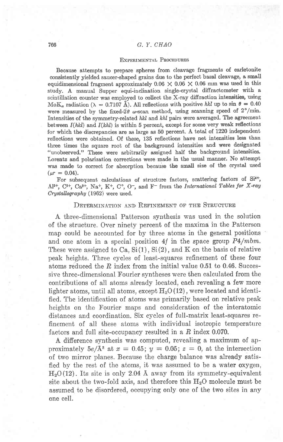## 766 G. Y. CHAO

## EXPERIMENTAL PROCEDURES

Because attempts to prepare spheres from cleavage fragments of carletonite consistently yielded saucer-shaped grains due to the perfect basal cleavage, a small equidimensional fragment approximately  $0.06 \times 0.06 \times 0.06$  mm was used in this study. A manual Supper equi-inclination single-crystal diffractometer with a scintillation counter was employed to collect the X-ray diffraction intensities, using MoK<sub>a</sub> radiation ( $\lambda = 0.7107 \text{ Å}$ ). All reflections with positive hkl up to sin  $\theta = 0.40$ were measured by the fixed-2 $\theta$   $\omega$ -scan method, using scanning speed of 2°/min. Intensities of the symmetry-related  $hkl$  and  $khl$  pairs were averaged. The agreement between  $I(hkl)$  and  $I(khl)$  is within 5 percent, except for some very weak reflections for which the discrepancies are as large as 50 percent. A total of L22O independent reflections were obtained. Of these, 135 reflections have net intensities less than three times the square root of the background intensities and were designated "unobserved." These were arbitrarily assigned half the background intensities. Lorentz and polarization corrections were made in the usual manner. No attempt was made to correct for absorption because the small size of the crystal used  $(\mu r = 0.04).$ 

For subsequent calculations of structure factors, scattering factors of Si<sup>4+</sup>,  ${Al}^{3+}$ ,  $C^{3+}$ ,  $Ca^{2+}$ ,  $Na^+$ ,  $K^+$ ,  $C^{\circ}$ ,  $O^-$ , and  $F^-$  from the *International Tables for X-ray*  $Crystallowapply (1962)$  were used.

### DETERMINATION AND REFINEMENT OF THE STRUCTURE

A three-dimensional Patterson synthesis was used in the solution of the structure. Over ninety percent of the maxima in the Patterson map could be accounted for by three atoms in the general positions and one atom in a special position  $4f$  in the space group  $P4/mbm$ . These were assigned to  $Ca, Si(1), Si(2)$ , and K on the basis of relative peak heights. Three cycles of least-squares refinement of these four atoms reduced the R index from the initial value 0.51 to 0.46. Successive three-dimensional Fourier syntheses were then calculated from the contributions of all atoms already located, each revealing a few more lighter atoms, until all atoms, except  $H_2O(12)$ , were located and identified. The identification of atoms was primarily based on relative peak heights on the Fourier maps and consideration of the interatomic distances and coordination. Six cycles of full-matrix least-squares refinement of all these atoms with individual isotropic temperature factors and full site-occupancy resulted in a  $R$  index 0.070.

A difference synthesis was computed, revealing a maximum of approximately  $5e/\text{\AA}^3$  at  $x = 0.45$ ;  $y = 0.05$ ;  $z = 0$ , at the intersection of two mirror planes. Because the charge balance was aheady satisfied by the rest of the atoms, it was assumed to be a water oxygen,  $H<sub>2</sub>O(12)$ . Its site is only 2.04 Å away from its symmetry-equivalent site about the two-fold axis, and therefore this  $H_2O$  molecule must be assumed to be disordered, occupying only one of the two sites in any one cell.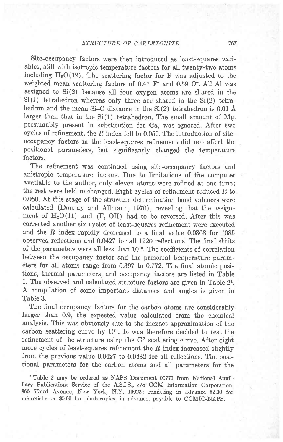Site-occupancy factors were then introduced as least-squares variables, still with isotropic temperature factors for all twenty-two atoms including  $H_2O(12)$ . The scattering factor for F was adjusted to the weighted mean scattering factors of  $0.41$  F<sup>-</sup> and  $0.59$  O<sup>-</sup>. All Al was assigned to Si(2) because all four oxygen atoms are shared in the Si(l) tetrahedron whereas only three are shared in the Si(2) tetrahedron and the mean Si-O distance in the  $Si(2)$  tetrahedron is 0.01 Å larger than that in the  $Si(1)$  tetrahedron. The small amount of Mg, presumably present in substitution for Ca, was ignored. After two cycles of refinement, the  $R$  index fell to 0.056. The introduction of siteoccupancy factors in the least-squares refinement did not affect the positional parameters, but significantly changed the temperature factors.

The refinement was continued using site-occupancy factors and anistropic temperature factors. Due to limitations of the computer available to the author, only eleven atoms were refined at one time; the rest were held unchanged. Eight cycles of refinement reduced  $R$  to 0.050. At this stage of the structure determination bond valences were calculated (Donnay and Allmann, 1970), revealing that the assignment of  $H_2O(11)$  and (F, OH) had to be reversed. After this was corrected another six cycles of least-squares refinement were executed and the  $R$  index rapidly decreased to a final value 0.0368 for 1085 observed reflections and 0.0427 for all l22O reflections. The final shifts of the parameters were all less than 10-6. The coefficients of correlation between the occupancy factor and the principal temperature parameters for all atoms range from 0.397 to 0.772. The final atomic positions, thermal parameters, and occupancy factors are listed in Table 1. The observed and calculated structure factors are given in Table 21. A compilation of some important distances and angles is given in Table 3.

The final occupancy factors for the carbon atoms are considerably larger than 0.9, the expected value calculated from the chemical analysis. This was obviously due to the inexact approximation of the carbon scattering curve by  $C^{3*}$ . It was therefore decided to test the refinement of the structure using the  $C<sup>o</sup>$  scattering curve. After eight more cycles of least-squares refinement the  $R$  index increased slightly from the previous value 0.0427 to 0.0432 for all reflections. The positional parameters for the carbon atoms and all parameters for the

'Table 2 may be ordered as NAPS Document 01771 from National Auxilliary Publications Service of the A.S.I.S., c/o CCM Information Corporation, 866 Third Avenue, New York, N.Y. 10022; remitting in advance \$2.00 for microfiche or \$5O0 for photocopies, in advance, payable to CCMIC-NAPS.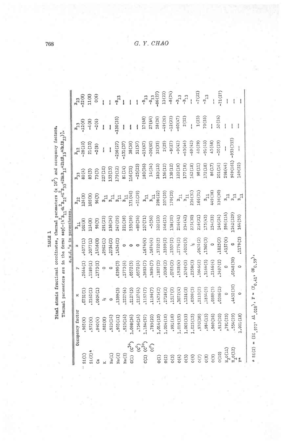TABLE 1 Final e<br>Therms

| atomic fractional coordinates, thermal parameters (x 10 ) and occupancy factors. | mal parameters are in the form: $\exp[-(h^2_{21} + k^2_{22} + k^2_{23} + 2hk_{12} - 2h2hB_{13} + 2kkB_{23})]$ . |                         |
|----------------------------------------------------------------------------------|-----------------------------------------------------------------------------------------------------------------|-------------------------|
|                                                                                  |                                                                                                                 | a.g.d. a in narantheses |
|                                                                                  |                                                                                                                 |                         |
|                                                                                  |                                                                                                                 |                         |
|                                                                                  |                                                                                                                 |                         |
|                                                                                  |                                                                                                                 |                         |
|                                                                                  |                                                                                                                 |                         |
|                                                                                  |                                                                                                                 |                         |
|                                                                                  |                                                                                                                 |                         |

|                                |                      |          |                |               | e.s.d.'s in parentheses |                               |           |              |            |                               |
|--------------------------------|----------------------|----------|----------------|---------------|-------------------------|-------------------------------|-----------|--------------|------------|-------------------------------|
|                                | Occupancy factor     |          |                |               |                         |                               | $B_{33}$  |              |            | $B_{23}$<br>-22(8)            |
| SL(1)                          | 965(6)               | 0731(1)  | 2644(1)        | 4077(1)       | 102(8)                  | 124(8)                        | 80(4)     | (01)82.      | $-12(6)$   |                               |
| $51(2)*$                       | 972(6)               | 2162(1)  | 11.89(1)       | 3077(1)       | .14(8)                  | 105(8)                        | 85(5)     | 21 (10)      | $-4(8)$    | 11(8)                         |
| පී                             | (4)040               | 0604(1)  | 1773(1)        | 1416(0)       | 98(5)                   | 96(5)                         | 73(3)     | $-2(8)$      | $-2(6)$    | $\frac{6}{6}$                 |
|                                | 882(8)               | Y        | $\ddot{\circ}$ | 2962(1)       | 291 (23)                | $\mathbbmss{B}_\mathbbmss{H}$ | 227(10)   |              | Į          |                               |
| Na(1)                          | 923(14)              | ¢        | $\circ$        | , 2754(2)     | 138(34)                 | $E_{\rm H}$                   | .53(15)   | i            | Ī          |                               |
| Na(2)                          | (11) 505             | 1399(3)  | 6399(3)        | 1424(2)       | 247 (29)                | $\mathbb{B}_{11}$             | 179(12)   | 256(27)      | $-130(35)$ |                               |
| Na(3)                          | .925(14)             | 2227(4)  | 2773(4)        | $\circ$       | 221(38)                 | $\mathbb{E}_{11}$             | B1(14)    | $-131(37)$   | Į          |                               |
| C(1)                           | (34)                 | 2127(5)  | 0572(5)        | 0             | 153(39)                 | (71(46)                       | 116(25)   | 38(59)       | į          |                               |
| $\widehat{c}^{\circ}$          | .756(14)             | 2127(4)  | 0572(4)        | o             | $-89(36)$               | $-51(39)$                     | $-25(23)$ | 51(57)       | ł          |                               |
| $(c^{3+}$<br>C(2)              | 1.184(37)            | 1197(7)  | 3803(7)        | 1674(4)       | 257(71)                 | $\mathbb{E}_{11}$             | 180(26)   | $-15(67)$    | 17(68)     | $E_{\text{TS}}$               |
| ်                              | .785(20)             | 1196(7)  | , 3804(7)      | 1674(4)       | $-5(56)$                | $E_{11}$                      | 14(24)    | $-20(60)$    | 27(64)     | $-8$ <sub>13</sub><br>-86(27) |
| ίIJΟ                           | 1.014(10)            | 1475(2)  | 1807(2)        | 3722(2)       | 322(23)                 | 298(22)                       | 183(13)   | 32(33)       | 28(26)     |                               |
| O(2)                           | 1.004(10)            | 2718(2)  | 0308(2)        | 3599(2)       | 246(21)                 | 207(20)                       | 156(12)   | 2(29)        | $-49(26)$  | 13(23)                        |
| O(3)                           | (01)(100             | 1517(2)  | 0783(2)        | 2357(2)       | 158(20)                 | 170(20)                       | 138(12)   | $-8(27)$     | $-12(23)$  | $-8(24)$                      |
| 0(4)                           | .019(15)             | 3072(4)  | 1928(4)        | 2776(2)       | 216(41)                 | $E_{\rm H}$                   | 122(16)   | $-9(41)$     | $-60(47)$  | $\epsilon \tau_{\rm ff}$      |
| D(5)                           | .005(15)             | 1251(5)  | 3749(5)        | 4020(3)       | 234 (42)                | $E_{\rm H}$                   | 177(18)   | $-63(44)$    | 2(52)      | $-B$ <sub>13</sub>            |
| 0(6)                           | 1.025(15)            | 0509(3)  | 2358(3)        | $\frac{1}{2}$ | 275(30)                 | 236(31)                       | 162(18)   | $-69(42)$    | ţ          | $\frac{1}{1}$                 |
| O(7)                           | (01)0/6,             | 2110(2)  | 1046(2)        | 0674(2)       | 216(21)                 | 166(21)                       | 98(11)    | 40(29)       | 1(23)      | $-7(22)$                      |
| (8)0                           | ,984(15)             | 1834(5)  | 3166(5)        | 1360(3)       | 175(43)                 | $B_{11}$                      | 172(18)   | $-91(43)$    | 70(55)     | $\epsilon_{\rm T_{\rm g}}$    |
| (6)0                           | ,969(16)             | (5389)   | 2146(4)        | $\circ$       | L54(33)                 | 449 (38)                      | 86(17)    | 45(48)       | I          | $\mathbf{I}$                  |
| 0(10)                          | (01) 13 <sub>°</sub> | 0306(2)  | 3497(2)        | 1825(2)       | 146(24)                 | 136(30)                       | 201(14)   | $-20(29)$    | 52(26)     | $-71(27)$                     |
| $\mathrm{H}_2\mathrm{O}(11)$   | .791(23)             | $\circ$  | $\circ$        | 4157(6)       | 596(114)                | $B_{11}$                      | 298 (44)  | $\mathbf{I}$ |            |                               |
| $\texttt{H}_{2}\texttt{O}(12)$ | .554(29)             | 4452(30) | 0548 (30)      | $\circ$       | 242 (329)               |                               | 161)646   | $-953(355)$  |            |                               |
|                                | .001(18)             | $\circ$  | $\circ$        | 1179(3)       | 164(50)                 | $B_{11}$                      | L49(22)   | Į            |            |                               |
|                                |                      |          |                |               |                         |                               |           |              |            |                               |

\*  $SL(2) = (51, 972, \frac{\text{Al}}{2028})$ ,  $\mathbb{F} = (\mathbb{F}_0, 41, \frac{\text{OH}}{40}, 59)$ .

 $G. Y. CHAO$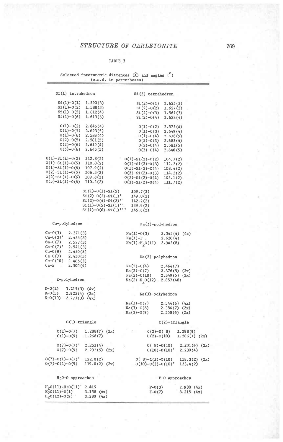#### TABLE 3

| Selected interatomic distances $(A)$ and angles $(0)$ |                         |  |  |
|-------------------------------------------------------|-------------------------|--|--|
|                                                       | (e.s.d. in parentheses) |  |  |

| Si(1) tetrahedron |                                          | Si(2) tetrahedron    |           |
|-------------------|------------------------------------------|----------------------|-----------|
| $Si(1)-O(1)$      | 1.590(3)                                 | $Si(2)-O(1)$         | 1,625(3)  |
| $S_1(1)-O(2)$     | 1,588(3)                                 | $Si(2)-O(2)$         | 1.627(3)  |
| $St(1)-O(5)$      | 1.612(4)                                 | $Si(2)-O(3)$         | 1, 567(3) |
| $SL(1)-O(6)$      | 1.613(3)                                 | $Si(2)-O(4)$         | 1.623(4)  |
| $0(1)-0(2)$       | 2.646(4)                                 | $0(1)-0(2)$          | 2,575(4)  |
| $0(1)-0(5)$       | 2,623(5)                                 | $0(1)-0(3)$          | 2,649(4)  |
| $0(1)-0(6)$       | 2.589(4)                                 | $0(1)-0(4)$          | 2.636(5)  |
| $0(2)-0(5)$       | 2.561(5)                                 | $0(2)-0(3)$          | 2.683(4)  |
| $0(2)-0(6)$       | 2.619(4)                                 | $0(2)-0(4)$          | 2.581(5)  |
| $0(5)-0(6)$       | 2.645(5)                                 | $0(3)-0(4)$          | 2,640(5)  |
| $0(1)-Si(1)-0(2)$ | 112.8(2)                                 | $0(1)-S_1(2)-0(2)$   | 104,7(2)  |
| 0(1)-Si(1)-0(5)   | 110.0(2)                                 | $0(1)-S1(2)-0(3)$    | 112.2(2)  |
| $0(1)-Si(1)-0(6)$ | 107.9(2)                                 | $0(1)-S1(2)-0(4)$    | 108.4(2)  |
| $0(2)-S1(1)-0(5)$ | 106.3(2)                                 | $0(2)-Si(2)-0(3)$    | 114.2(2)  |
| $0(2)-Si(1)-0(6)$ | 109.8(2)                                 | $0(2)-Si(2)-0(4)$    | 105.1(2)  |
| $0(5)-S1(1)-0(6)$ | 110.2(2)                                 | $0(3)-Si(2)-0(4)$    | 111.7(2)  |
|                   | $Si(1)-O(1)-Si(2)$<br>$St(2)-O(2)-Si(1)$ | 159.7(2)<br>149.0(2) |           |

| 149.0(2) |
|----------|
| 142.2(2) |
| 139.9(2) |
| 145.6(2) |
|          |

Ca-polyhedron

Ca-0(3) 2.371(3)<br>Ca-0(3)' 2.434(3)<br>Ca-0(7) 2.527(3)<br>Ca-0(7)' 2.541(3)

 $Ca-O(10)$  2.405(3)

K-polyhedron  $K=0(2)$  3.215(3) (4x)<br> $K=0(5)$  2.925(4) (2x)<br> $K=0(10)$  2.773(3) (4x)

 $2.450(5)$ 

 $2.430(5)$ 

 $2.500(4)$ 

 $Ca - O(8)$ 

 $Ca - O(9)$ 

 $Ca-F$ 

#### Na(1)-polyhedron

| $Na(1)-O(3)$    | $2.345(4)$ (4x) |  |
|-----------------|-----------------|--|
| $Na(1)-F$       | 2,630(4)        |  |
| $Na(1)-H2O(11)$ | 2.342(8)        |  |

#### Na(2)-polyhedron

| Na(2)-0(4)    | 2.464(7)         |
|---------------|------------------|
| Na(2)-0(7)    | 2.376(5)<br>(2x) |
| Na(2)-0(10)   | 2.349(5)<br>(2x) |
| № (2)-Н,0(12) | 2.857(48)        |

#### Na(3)-polyhedron

| $Na(3)-O(7)$ | $2.544(6)$ (4x)   |  |
|--------------|-------------------|--|
| $Na(3)-O(8)$ | $2.386(7)$ $(2x)$ |  |
| $Na(3)-O(9)$ | $2.558(6)$ (2x)   |  |

 $C(2)-triangle$  $C(2)-0(8)$  1.298(9)<br> $C(2)-0(10)$  1.266(7) (2x)

 $\begin{array}{cc} 0(&8)-C(2)-0(10)&118.3(2)&(2 \kappa) \\ 0&(10)-C(2)-0(10)^{\dagger}&123.4(2) \end{array}$ 

F-0 approaches

 $0(8)-0(10)$  2.201(6) (2x)<br>0(10)-0(10)' 2.230(4)

### $C(1)-triangle$

| $C(1)-O(7)$<br>$C(1)-O(9)$             | $1.288(7)$ (2x)<br>1.268(7)   |      |
|----------------------------------------|-------------------------------|------|
| $0(7)-0(7)$ '<br>$0(7)-0(9)$           | 2,252(4)<br>$2.202(5)$ $(2x)$ |      |
| $0(7)-C(1)-0(7)$ '<br>$0(7)-C(1)-0(9)$ | 122.0(2)<br>119.0(2)          | (2x) |

### $H<sub>2</sub>0-0$  approaches

| $H_2O(11)-H_2O(11)$ <sup>'</sup> 2.815 |           | $F - O(3)$ | 2,988(4x) |  |
|----------------------------------------|-----------|------------|-----------|--|
| $\overline{H}_2O(11)-O(1)$             | 3.158(4x) | $F - O(7)$ | 3.215(4x) |  |
| $H_2O(12)-O(9)$                        | 3,280(4x) |            |           |  |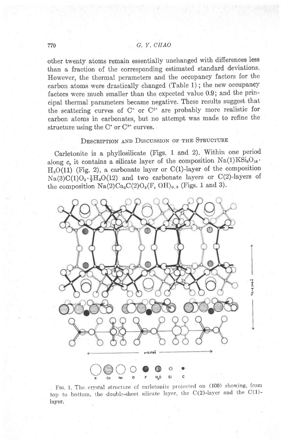other twenty atoms remain essentially unchanged with differences less than a fraction of the corresponding estimated standard deviations. However, the thermal perameters and the occupancy factors for the carbon atoms were drastically changed (Table 1) ; the new occupancy factors were much smaller than the expected value 0.9; and the principal thermal parameters became negative. These results suggest that the scattering curves of  $C^*$  or  $C^{2*}$  are probably more realistic for carbon atoms in carbonates, but no attempt was made to refine the structure using the  $C^*$  or  $C^{2*}$  curves.

# DESCRIPTION AND DISCUSSION OF THE STRUCTURE

carletonite is a phyllosilicate (Figs. 1 and 2). within one period along c, it contains a silicate layer of the composition  $Na(1)KSi_8O_{18}$ .  $H<sub>2</sub>O(11)$  (Fig. 2), a carbonate layer or C(1)-layer of the composition  $Na(3)C(1)O_3 \cdot \frac{1}{2}H_2O(12)$  and two carbonate layers or C(2)-layers of the composition  $Na(2)Ca_2C(2)O_3(F, OH)_{0.5}$  (Figs. 1 and 3).



FIG. 1. The crystal structure of carletonite projected on (100) showing, from top to bottom, the double-sheet silicate layer, the  $C(2)$ -layer and the  $C(1)$ laver.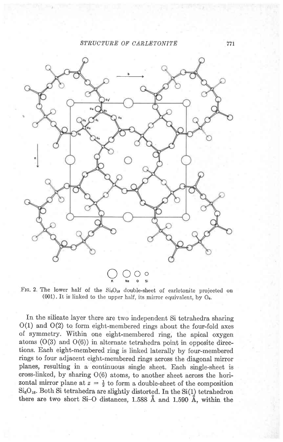## STRUCTURE OF CARLETONITE



FIG. 2. The lower half of the SisO<sub>18</sub> double-sheet of carletonite projected on  $(001)$ . It is linked to the upper half, its mirror equivalent, by  $O<sub>6</sub>$ .

In the silicate layer there are two independent Si tetrahedra sharing O(1) and O(2) to form eight-membered rings about the four-fold axes of symmetry. Within one eight-membered ring, the apical oxygen atoms  $(O(3)$  and  $O(6))$  in alternate tetrahedra point in opposite directions. Each eight-membered ring is linked laterally by four-membered rings to four adjacent eight-membered rings across the diagonal mirror planes, resulting in a continuous single sheet. Each single-sheet is cross-linked, by sharing 0(6) atoms, to another sheet across the horizontal mirror plane at  $z = \frac{1}{2}$  to form a double-sheet of the composition  $Si_8O_{18}$ . Both Si tetrahedra are slightly distorted. In the Si(1) tetrahedron there are two short Si-O distances, 1.588 A and 1.590 A, within the

77r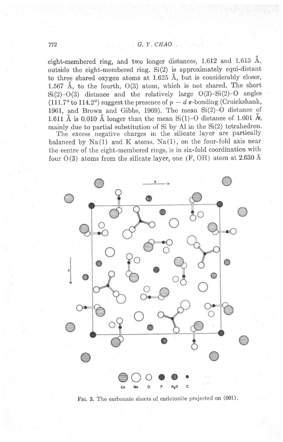eight-membered ring, and two longer distances, 1.612 and 1.613 A, outside the eight-membered ring.  $Si(2)$  is approximately equi-distant to three shared oxygen atoms at  $1.625$  Å, but is considerably closer, 1.567 A, to the fourth, O(3) atom, which is not shared. The short  $Si(2)-O(3)$  distance and the relatively large  $O(3)-Si(2)-O$  angles (111.7° to 114.2°) suggest the presence of  $p - d \pi$ -bonding (Cruickshank, 1961, and Brown and Gibbs, 1969). The mean  $Si(2)-O$  distance of 1.611 Å is 0.010 Å longer than the mean Si(1)-O distance of 1.601 Å, mainly due to partial substitution of  $Si$  by Al in the  $Si(2)$  tetrahedron.

The excess negative charges in the silicate layer are partically balanced by  $Na(1)$  and K atoms.  $Na(1)$ , on the four-fold axis near the centre of the eight-membered rings, is in six-fold coordination with four  $O(3)$  atoms from the silicate layer, one (F, OH) atom at 2.630 Å



FIG. 3. The carbonate sheets of carletonite projected on  $(001)$ .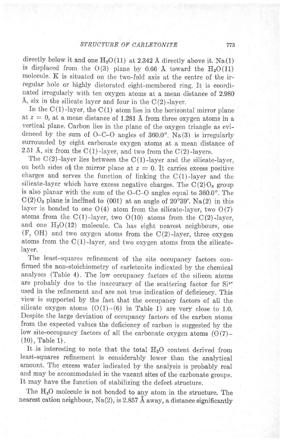directly below it and one  $H_2O(11)$  at 2.342 Å directly above it. Na(1) is displaced from the  $O(3)$  plane by 0.66 Å toward the  $H<sub>2</sub>O(11)$ molecule. K is situated on the two-fold axis at the centre of the irregular hole or highly distorated eight-membered ring. It is coordinated irregularly with ten oxygen atoms at a mean distance of 2.980 Å, six in the silicate layer and four in the  $C(2)$ -layer.

In the  $C(1)$ -layer, the  $C(1)$  atom lies in the horizontal mirror plane at  $z=0$ , at a mean distance of 1.281 Å from three oxygen atoms in a vertical plane. Carbon lies in the plane of the oxygen triangle as evidenced by the sum of  $O-C-O$  angles of  $360.0^\circ$ . Na(3) is irregularly surrounded by eight carbonate oxygen atoms at a mean distance of 2.51 Å, six from the  $C(1)$ -layer, and two from the  $C(2)$ -layers.

The  $C(2)$ -layer lies between the  $C(1)$ -layer and the silicate-layer, on both sides of the mirror plane at  $z = 0$ . It carries excess positive charges and serves the function of linking the  $C(1)$ -layer and the silicate-layer which have excess negative charges. The  $C(2)O<sub>3</sub>$  group is also planar with the sum of the O-C-O angles equal to 860.0". The  $C(2)O<sub>3</sub>$  plane is inclined to (001) at an angle of 20°39'. Na(2) in this layer is bonded to one  $O(4)$  atom from the silicate-layer, two  $O(7)$ atoms from the  $C(1)$ -layer, two  $O(10)$  atoms from the  $C(2)$ -layer, and one  $H<sub>2</sub>O(12)$  molecule. Ca has eight nearest neighbours, one  $(F, OH)$  and two oxygen atoms from the  $C(2)$ -layer, three oxygen atoms from the  $C(1)$ -layer, and two oxygen atoms from the silicatelayer.

The least-squares refinement of the site occupancy factors confirmed the non-stoichiometry of carletonite indicated by the chemical analyses (Table 4) . The low occupancy factors of the silicon atoms are probably due to the inaccuracy of the scattering factor for Si<sup>4+</sup> used in the refinement and are not true indication of deficiency. This view is supported by the fact that the occupancy factors of all the silicate oxygen atoms  $(O(1)-(6)$  in Table 1) are very close to 1.0. Despite the large deviation of occupancy factors of the carbon atoms from the expected values the deficiency of carbon is suggested by the low site-occupancy factors of all the carbonate oxygen atoms  $(O(7)$ -(10), Table 1).

It is interesting to note that the total H<sub>2</sub>O content derived from least-squares refinement is considerably lower than the analytical amount. The excess water indicated by the analysis is probably real and may be accommodated in the vacant sites of the carbonate groups. It may have the function of stabilizing the defect structure.

The H<sub>2</sub>O molecule is not bonded to any atom in the structure. The nearest cation neighbour, Na(2), is 2.857 Å away, a distance significantly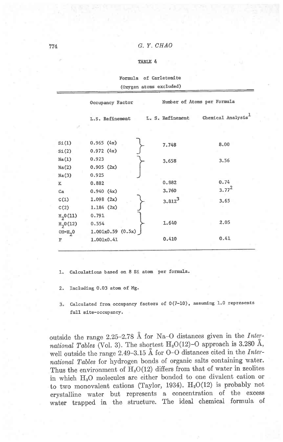## 774 G. Y. CHAO

#### IABTE 4

|       |                  | Formula of Carletonite      |                  |
|-------|------------------|-----------------------------|------------------|
|       |                  | (Oxygen atoms excluded)     |                  |
|       | Occupancy Factor | Number of Atoms per Formula |                  |
|       | L.S. Refinement  | L. S. Refinement            | Chemical Analysi |
|       |                  |                             |                  |
| SL(1) | 0.965(4x)        | 7.748                       | 8.00             |
| SL(2) | 0.972(4x)        |                             |                  |
| Na(1) | 0.923            | 3.658                       | 3.56             |
| Na(2) | 0.905(2x)        |                             |                  |
| Na(3) | 0.925            |                             |                  |
| K     | 0.882            | 0.882                       | 0.74             |

3.760 3.8123  $3.77^{2}$ 3.65

2.O5

0.41

1.640

0.410

1. Calculations based on 8 Si atom per formul

 $0.554$   $\left\{ \begin{array}{c} 0.554 \end{array} \right\}$ 1.001x0.59 (0.sx) J 1.001x0.41

2. Including 0.03 atom of Mg.

0.940 (4x) 1.0e8 (2x)  $1.184$   $(2x)$ 0.791<br>0.554

3. Calculated from occupancy factors of  $0(7-10)$ , assuming 1.0 represents fu1I slte-occupancy.

outside the range 2.25-2.78 Å for Na-O distances given in the International Tables (Vol. 3). The shortest H<sub>2</sub>O(12)-O approach is 3.280 Å, well outside the range 2.49-3.15 Å for O-O distances cited in the International Tables for hydrogen bonds of organic salts containing water. Thus the environment of  $H<sub>2</sub>O(12)$  differs from that of water in zeolites in which  $H_2O$  molecules are either bonded to one divalent cation or to two monovalent cations (Taylor, 1934).  $H<sub>2</sub>O(12)$  is probably not crystalline water but represents a concentration of the excess water trapped in the structure. The ideal chemical formula of

Ca  $C(1)$  $C(2)$  $H_2^0(11)$  $H_{20}(12)$  $OH=H<sub>2</sub>0$ F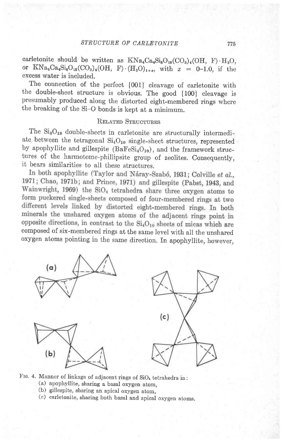775

carletonite should be written as  $KNa_4Ca_4Si_8O_{18}(CO_3)_4(OH, F) \cdot H_2O,$ or  $KNa_4Ca_4Si_8O_{18}(CO_3)_4(OH, F) \cdot (H_2O)_{1+x}$ , with  $x = 0-1.0$ , if the excess water is included.

The connection of the perfect  ${001}$  cleavage of carletonite with the double-sheet structure is obvious. The good {100} cleavage is presumably produced along the distorted eight-membered rings where the breaking of the Si-O bonds is kept at a minimum.

## RELATED STRUCTURES

The  $Si_8O_{18}$  double-sheets in carletonite are structurally intermediate, between the tetragonal  $Si<sub>4</sub>O<sub>10</sub>$  single-sheet structures, represented. by apophyllite and gillespite  $(BaFeSi<sub>4</sub>O<sub>10</sub>)$ , and the framework structures of the harmotome-phillipsite group of zeolites. Consequently, it bears similarities to all these structures.<br>In both apophyllite (Taylor and Náray-Szabó, 1931; Colville et al.,

1971; Chao, 1971b; and Prince, 1971) and gillespite (Pabst, 1943, and Wainwright, 1969) the SiO<sub>4</sub> tetrahedra share three oxygen atoms to form puckered single-sheets composed of four-membered rings at two different levels linked by distorted eight-membered rings. In both minerals the unshared oxygen atoms of the adjacent rings point in opposite directions, in contrast to the  $Si<sub>4</sub>O<sub>10</sub>$  sheets of micas which are composed of six-membered rings at the same level with all the unshared. oxygen atoms pointing in the same direction. In apophyllite, however,



Frg. 4. Manner of linkage of adjacent rings of  $SiO<sub>*</sub>$  tetrahedra in: (a) apophyllite, sharing a basal oxygen atom,

- (b) gillespite, sharing an apical oxygen atom,
- (c) carletonite, sharing both basal and apical oxygen atoms.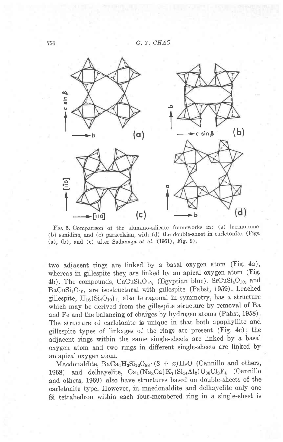

Frc.5. Comparison of the alumino-silicate frameworks in: (a) harmotome, (b) sanidine, and (c) paracelsian, with (d) the double-sheet in carletonite. (Figs. (a), (b), and (c) after Sadanaga  $et$   $al.$  (1961), Fig. 9).

two adjacent rings are linked by a basal oxygen atom (Fig. 4a), whereas in gillespite they are linked by an apical oxygen atom (Fig. 4b). The compounds,  $CaCuSi<sub>4</sub>O<sub>10</sub>$ , (Egyptian blue),  $SrCuSi<sub>4</sub>O<sub>10</sub>$ , and  $BaCuSi<sub>4</sub>O<sub>10</sub>$ , are isostructural with gillespite (Pabst, 1959). Leached gillespite,  $H_{16}(Si_4O_{10})_4$ , also tetragonal in symmetry, has a structure which may be derived from the gillespite structure by removal of Ba and Fe and the balancing of charges by hydrogen atoms (Pabst, 1958). The structure of carletonite is unique in that both apophyllite and gillespite types of linkages of the rings are present (Fig. 4c) ; the adjacent rings within the same single-sheets are linked by a basal oxygen atom and two rings in different single-sheets are linked by an apical oxygen atom.

Macdonaldite,  $BaCa<sub>4</sub>H<sub>2</sub>Si<sub>16</sub>O<sub>88</sub> (8 + x)H<sub>2</sub>O$  (Cannillo and others, 1968) and delhayelite,  $Ca_4(Na_3Ca)K_7(Si_{14}Al_2)O_{38}Cl_2F_4$  (Cannillo and others, 1969) also have structures based on double-sheets of the carletonite type. However, in macdonaldite and delhayelite only one Si tetrahedron within each four-membered ring in a single-sheet is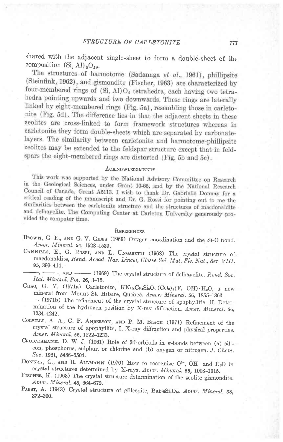shared with the adjacent single-sheet to form a double-sheet of the composition  $(Si, Al)_{8}O_{19}$ .<br>The structures of harmotome (Sadanaga *et al.*, 1961), phillipsite

(Steinfink, 1962), and gismondite (Fischer, 1963) are characterized by four-membered rings of (Si, Al)O<sub>4</sub> tetrahedra, each having two tetrahedra pointing upwards and two downwards. These rings are laterally linked by eight-membered rings (Fig. 5a), resembling those in carletonite (Fig. 5d). The difference lies in that the adjacent sheets in these zeolites are cross-linked to form framework structures whereas in carletonite they form double-sheets which are separated by carbonatelayers. The similarity between carletonite and harmotome-phillipsite zeolites may be extended to the feldspar structure except that in feldspars the eight-membered rings are distorted (Fig. 5b and 5c).

## ACKNOWLEDGMENTS

This work was supported by the National Advisory Committee on Research in the Geological Sciences, under Grant 10-65, and by the National Research Council of Canada, Grant A5113. I wish to thank Dr. Gabrielle Donnay for a critical reading of the manuscript and Dr. G. Rossi for pointing out to me the similarities between the carletonite structure and the structures of macdonaldite and delhayelite. The Computing Center at Carleton University generously provided the computer time.

#### **REFERENCES**

- BROWN, G. E., AND G. V. GIBBS (1969) Oxygen coordination and the Si-O bond. Amer. Mineral. 54, 1528-1539.
- CANNILLO, E., G. ROSSI, AND L. UNGARETTI (1968) The crystal structure of macdonaldite, Rend. Accad. Naz. Lincei, Classe Sci. Mat. Fis. Nat., Ser. VIII, 95, 3gg-414.
- $-$ ,  $\longrightarrow$ ,  $\land$ ND  $\longrightarrow$  (1969) The crystal structure of delhayelite. Rend, Soc. Ital. Mineral. Pet. 26, 3-15.
- CHAO, G. Y. (1971a) Carletonite,  $KNa_4Ca_4Si_8O_{18}(CO_3)_4(F, OH) \cdot H_2O$ , a new mineral from Mount St. Hilaire, Quebec. Amer. Mineral. 56, 1855-1866.
- (1971b) The refinement of the crystal structure of apophyllite, II. Determination of the hydrogen position by X-ray diffraction. Amer. Mineral. 56, L234-1242.
- COLVILLE, A. A., C. P. ANDERSON, AND P. M. BLACK (1971) Refinement of the crystal structure of apophyllite, f. X-ray diffraction and physical properties. Amer. Mineral. 56, 1222-1233.
- CRUICKSHANK, D. W. J. (1961) Role of 3d-orbitals in  $\pi$ -bonds between (a) silicon, phosphorus, sulphur, or chlorine and (b) oxygen or nitrogen. J. Chem. Soc. 1961, 5486-5504.
- DONNAY, G., AND R. ALLMANN (1970) How to recognize  $O^{2-}$ , OH- and H<sub>2</sub>O in crystal structures determined by X-rays. Amer. Mineral. 55, 1003-1015.
- FISCHER, K. (1963) The crystal structure determination of the zeolite gismondite. Amer. Mineral. 48, 664-672.
- PABST, A. (1943) Crystal structure of gillespite, BaFeSi4O<sub>10</sub>. Amer. Mineral. 38, 372-390.